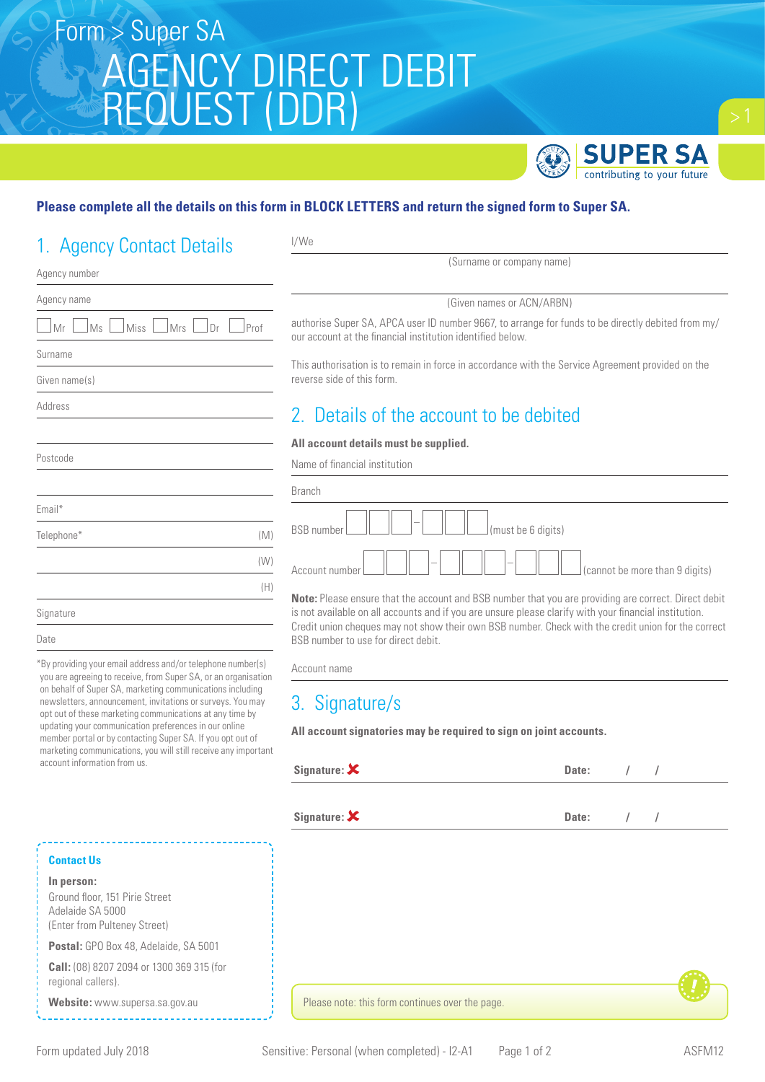# Form > Super SA AGENCY DIRECT DEBIT REQUEST (DDR)



#### **Please complete all the details on this form in BLOCK LETTERS and return the signed form to Super SA.**

I/We

## 1. Agency Contact Details

| Agency number                                       |
|-----------------------------------------------------|
| Agency name                                         |
| Miss<br><u>Mrs</u><br>$\Box$ Dr<br>Mr<br>Ms<br>Prof |
| Surname                                             |
| Given name(s)                                       |
| Address                                             |
|                                                     |
| Postcode                                            |
|                                                     |
| Email*                                              |
| Telephone*<br>(M)                                   |
| (W)                                                 |
| (H)                                                 |
| Signature                                           |
| Date                                                |
|                                                     |

\*By providing your email address and/or telephone number(s) you are agreeing to receive, from Super SA, or an organisation on behalf of Super SA, marketing communications including newsletters, announcement, invitations or surveys. You may opt out of these marketing communications at any time by updating your communication preferences in our online member portal or by contacting Super SA. If you opt out of marketing communications, you will still receive any important account information from us.

## (Given names or ACN/ARBN) authorise Super SA, APCA user ID number 9667, to arrange for funds to be directly debited from my/ our account at the financial institution identified below. This authorisation is to remain in force in accordance with the Service Agreement provided on the reverse side of this form. 2. Details of the account to be debited **All account details must be supplied.** Name of financial institution Branch BSB number  $\Box$   $\Box$   $\Box$   $\Box$   $\Box$  (must be 6 digits)

(Surname or company name)

**Note:** Please ensure that the account and BSB number that you are providing are correct. Direct debit is not available on all accounts and if you are unsure please clarify with your financial institution. Credit union cheques may not show their own BSB number. Check with the credit union for the correct BSB number to use for direct debit.

Account name

### 3. Signature/s

**All account signatories may be required to sign on joint accounts.**

| Signature: $\boldsymbol{\mathsf{X}}$ | Date: |  |
|--------------------------------------|-------|--|
|                                      |       |  |

**Signature:**  $\boldsymbol{\mathsf{X}}$  **Date:**  $\boldsymbol{\mathsf{I}}$  **D**  $\boldsymbol{\mathsf{I}}$ 

#### **Contact Us**

**In person:**

Ground floor, 151 Pirie Street Adelaide SA 5000 (Enter from Pulteney Street)

**Postal:** GPO Box 48, Adelaide, SA 5001

**Call:** (08) 8207 2094 or 1300 369 315 (for regional callers).